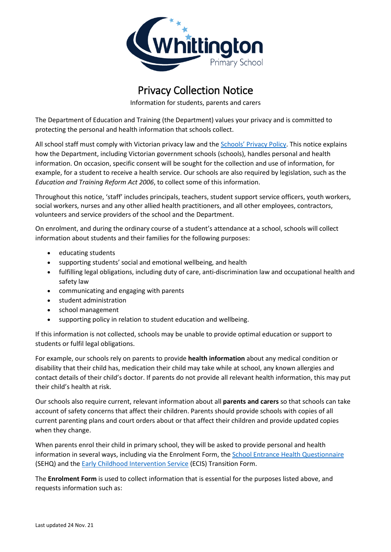

## Privacy Collection Notice

Information for students, parents and carers

The Department of Education and Training (the Department) values your privacy and is committed to protecting the personal and health information that schools collect.

All school staff must comply with Victorian privacy law and the [Schools' Privacy Policy](https://www.education.vic.gov.au/Pages/schoolsprivacypolicy.aspx). This notice explains how the Department, including Victorian government schools (schools), handles personal and health information. On occasion, specific consent will be sought for the collection and use of information, for example, for a student to receive a health service. Our schools are also required by legislation, such as the *Education and Training Reform Act 2006*, to collect some of this information.

Throughout this notice, 'staff' includes principals, teachers, student support service officers, youth workers, social workers, nurses and any other allied health practitioners, and all other employees, contractors, volunteers and service providers of the school and the Department.

On enrolment, and during the ordinary course of a student's attendance at a school, schools will collect information about students and their families for the following purposes:

- educating students
- supporting students' social and emotional wellbeing, and health
- fulfilling legal obligations, including duty of care, anti-discrimination law and occupational health and safety law
- communicating and engaging with parents
- student administration
- school management
- supporting policy in relation to student education and wellbeing.

If this information is not collected, schools may be unable to provide optimal education or support to students or fulfil legal obligations.

For example, our schools rely on parents to provide **health information** about any medical condition or disability that their child has, medication their child may take while at school, any known allergies and contact details of their child's doctor. If parents do not provide all relevant health information, this may put their child's health at risk.

Our schools also require current, relevant information about all **parents and carers** so that schools can take account of safety concerns that affect their children. Parents should provide schools with copies of all current parenting plans and court orders about or that affect their children and provide updated copies when they change.

When parents enrol their child in primary school, they will be asked to provide personal and health information in several ways, including via the Enrolment Form, th[e School Entrance Health Questionnaire](https://www.education.vic.gov.au/about/research/Pages/reportdatahealth.aspx) (SEHQ) and th[e Early Childhood Intervention Service](https://www.education.vic.gov.au/childhood/professionals/needs/Pages/ecisabout.aspx) (ECIS) Transition Form.

The **Enrolment Form** is used to collect information that is essential for the purposes listed above, and requests information such as: